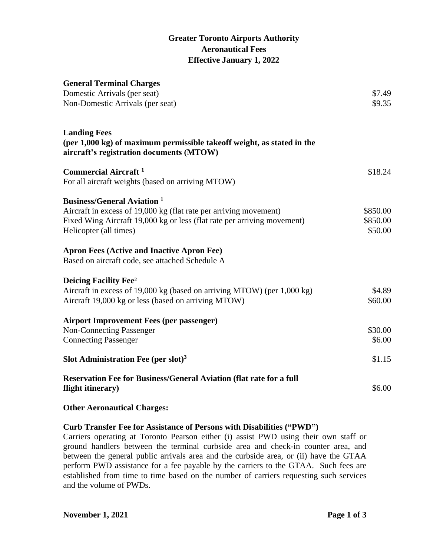## **Greater Toronto Airports Authority Aeronautical Fees Effective January 1, 2022**

| <b>General Terminal Charges</b>                                                                                                                                                                                         |                                 |
|-------------------------------------------------------------------------------------------------------------------------------------------------------------------------------------------------------------------------|---------------------------------|
| Domestic Arrivals (per seat)                                                                                                                                                                                            | \$7.49                          |
| Non-Domestic Arrivals (per seat)                                                                                                                                                                                        | \$9.35                          |
| <b>Landing Fees</b><br>(per 1,000 kg) of maximum permissible takeoff weight, as stated in the<br>aircraft's registration documents (MTOW)                                                                               |                                 |
| <b>Commercial Aircraft</b> <sup>1</sup><br>For all aircraft weights (based on arriving MTOW)                                                                                                                            | \$18.24                         |
| <b>Business/General Aviation</b> <sup>1</sup><br>Aircraft in excess of 19,000 kg (flat rate per arriving movement)<br>Fixed Wing Aircraft 19,000 kg or less (flat rate per arriving movement)<br>Helicopter (all times) | \$850.00<br>\$850.00<br>\$50.00 |
| <b>Apron Fees (Active and Inactive Apron Fee)</b><br>Based on aircraft code, see attached Schedule A                                                                                                                    |                                 |
| <b>Deicing Facility Fee</b> <sup>2</sup><br>Aircraft in excess of 19,000 kg (based on arriving MTOW) (per 1,000 kg)<br>Aircraft 19,000 kg or less (based on arriving MTOW)                                              | \$4.89<br>\$60.00               |
| <b>Airport Improvement Fees (per passenger)</b><br><b>Non-Connecting Passenger</b><br><b>Connecting Passenger</b>                                                                                                       | \$30.00<br>\$6.00               |
| Slot Administration Fee (per slot) <sup>3</sup>                                                                                                                                                                         | \$1.15                          |
| Reservation Fee for Business/General Aviation (flat rate for a full<br>flight itinerary)                                                                                                                                | \$6.00                          |

### **Other Aeronautical Charges:**

#### **Curb Transfer Fee for Assistance of Persons with Disabilities ("PWD")**

Carriers operating at Toronto Pearson either (i) assist PWD using their own staff or ground handlers between the terminal curbside area and check-in counter area, and between the general public arrivals area and the curbside area, or (ii) have the GTAA perform PWD assistance for a fee payable by the carriers to the GTAA. Such fees are established from time to time based on the number of carriers requesting such services and the volume of PWDs.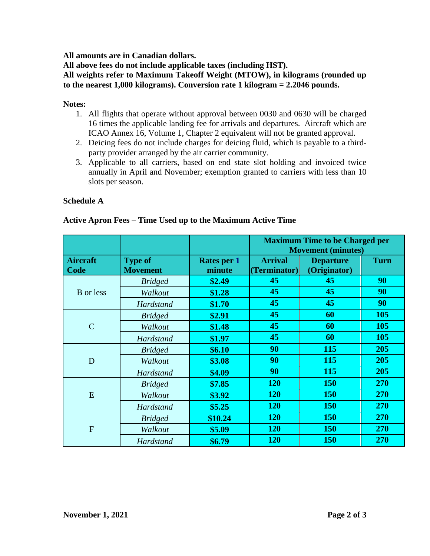**All amounts are in Canadian dollars.**

**All above fees do not include applicable taxes (including HST).**

**All weights refer to Maximum Takeoff Weight (MTOW), in kilograms (rounded up to the nearest 1,000 kilograms). Conversion rate 1 kilogram = 2.2046 pounds.**

#### **Notes:**

- 1. All flights that operate without approval between 0030 and 0630 will be charged 16 times the applicable landing fee for arrivals and departures. Aircraft which are ICAO Annex 16, Volume 1, Chapter 2 equivalent will not be granted approval.
- 2. Deicing fees do not include charges for deicing fluid, which is payable to a thirdparty provider arranged by the air carrier community.
- 3. Applicable to all carriers, based on end state slot holding and invoiced twice annually in April and November; exemption granted to carriers with less than 10 slots per season.

#### **Schedule A**

|                         |                                   |                       | <b>Maximum Time to be Charged per</b><br><b>Movement (minutes)</b> |                                  |             |
|-------------------------|-----------------------------------|-----------------------|--------------------------------------------------------------------|----------------------------------|-------------|
| <b>Aircraft</b><br>Code | <b>Type of</b><br><b>Movement</b> | Rates per 1<br>minute | <b>Arrival</b><br>(Terminator)                                     | <b>Departure</b><br>(Originator) | <b>Turn</b> |
| <b>B</b> or less        | <b>Bridged</b>                    | \$2.49                | 45                                                                 | 45                               | 90          |
|                         | Walkout                           | \$1.28                | 45                                                                 | 45                               | 90          |
|                         | Hardstand                         | \$1.70                | 45                                                                 | 45                               | 90          |
| $\mathcal{C}$           | <b>Bridged</b>                    | \$2.91                | 45                                                                 | 60                               | 105         |
|                         | Walkout                           | \$1.48                | 45                                                                 | 60                               | 105         |
|                         | Hardstand                         | \$1.97                | 45                                                                 | 60                               | 105         |
| D                       | <b>Bridged</b>                    | \$6.10                | 90                                                                 | 115                              | 205         |
|                         | Walkout                           | \$3.08                | 90                                                                 | 115                              | 205         |
|                         | Hardstand                         | \$4.09                | 90                                                                 | 115                              | 205         |
| E                       | <b>Bridged</b>                    | \$7.85                | <b>120</b>                                                         | 150                              | 270         |
|                         | Walkout                           | \$3.92                | <b>120</b>                                                         | 150                              | 270         |
|                         | Hardstand                         | \$5.25                | <b>120</b>                                                         | 150                              | 270         |
| $\overline{F}$          | <b>Bridged</b>                    | \$10.24               | <b>120</b>                                                         | <b>150</b>                       | 270         |
|                         | Walkout                           | \$5.09                | <b>120</b>                                                         | 150                              | 270         |
|                         | Hardstand                         | \$6.79                | <b>120</b>                                                         | 150                              | 270         |

#### **Active Apron Fees – Time Used up to the Maximum Active Time**